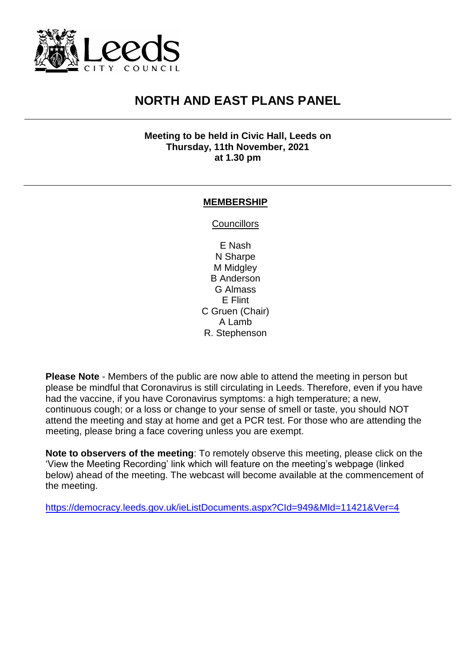

## **NORTH AND EAST PLANS PANEL**

**Meeting to be held in Civic Hall, Leeds on Thursday, 11th November, 2021 at 1.30 pm**

## **MEMBERSHIP**

**Councillors** 

E Nash N Sharpe M Midgley B Anderson G Almass E Flint C Gruen (Chair) A Lamb R. Stephenson

**Please Note** - Members of the public are now able to attend the meeting in person but please be mindful that Coronavirus is still circulating in Leeds. Therefore, even if you have had the vaccine, if you have Coronavirus symptoms: a high temperature; a new, continuous cough; or a loss or change to your sense of smell or taste, you should NOT attend the meeting and stay at home and get a PCR test. For those who are attending the meeting, please bring a face covering unless you are exempt.

**Note to observers of the meeting**: To remotely observe this meeting, please click on the 'View the Meeting Recording' link which will feature on the meeting's webpage (linked below) ahead of the meeting. The webcast will become available at the commencement of the meeting.

<https://democracy.leeds.gov.uk/ieListDocuments.aspx?CId=949&MId=11421&Ver=4>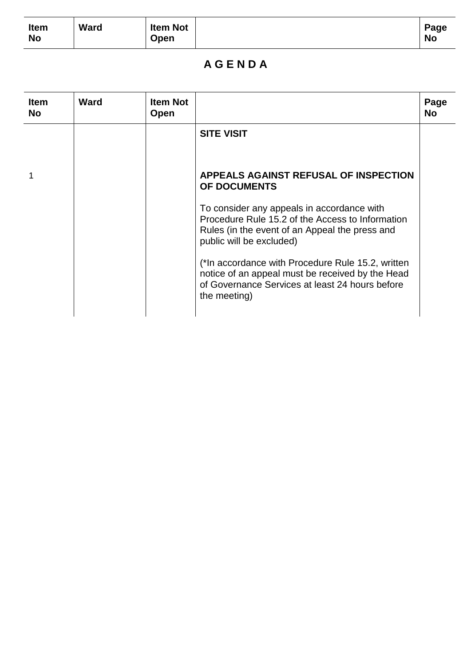| Item      | Ward | <b>Item Not</b> | Page      |
|-----------|------|-----------------|-----------|
| <b>No</b> |      | Open            | <b>No</b> |

## **A G E N D A**

| <b>Item</b><br><b>No</b> | <b>Ward</b> | <b>Item Not</b><br>Open |                                                                                                                                                                              | Page<br><b>No</b> |
|--------------------------|-------------|-------------------------|------------------------------------------------------------------------------------------------------------------------------------------------------------------------------|-------------------|
|                          |             |                         | <b>SITE VISIT</b>                                                                                                                                                            |                   |
|                          |             |                         | <b>APPEALS AGAINST REFUSAL OF INSPECTION</b><br>OF DOCUMENTS                                                                                                                 |                   |
|                          |             |                         | To consider any appeals in accordance with<br>Procedure Rule 15.2 of the Access to Information<br>Rules (in the event of an Appeal the press and<br>public will be excluded) |                   |
|                          |             |                         | (*In accordance with Procedure Rule 15.2, written<br>notice of an appeal must be received by the Head<br>of Governance Services at least 24 hours before<br>the meeting)     |                   |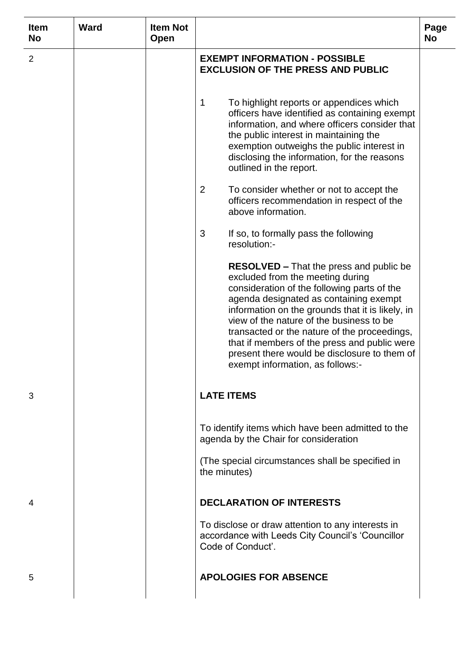| <b>Item</b><br><b>No</b> | <b>Ward</b> | <b>Item Not</b><br><b>Open</b> |                                                                                                                                                                                                                                                                                                                                                                                                                                                                 | Page<br><b>No</b> |
|--------------------------|-------------|--------------------------------|-----------------------------------------------------------------------------------------------------------------------------------------------------------------------------------------------------------------------------------------------------------------------------------------------------------------------------------------------------------------------------------------------------------------------------------------------------------------|-------------------|
| 2                        |             |                                | <b>EXEMPT INFORMATION - POSSIBLE</b><br><b>EXCLUSION OF THE PRESS AND PUBLIC</b>                                                                                                                                                                                                                                                                                                                                                                                |                   |
|                          |             |                                | To highlight reports or appendices which<br>1<br>officers have identified as containing exempt<br>information, and where officers consider that<br>the public interest in maintaining the<br>exemption outweighs the public interest in<br>disclosing the information, for the reasons<br>outlined in the report.                                                                                                                                               |                   |
|                          |             |                                | 2<br>To consider whether or not to accept the<br>officers recommendation in respect of the<br>above information.                                                                                                                                                                                                                                                                                                                                                |                   |
|                          |             |                                | 3<br>If so, to formally pass the following<br>resolution:-                                                                                                                                                                                                                                                                                                                                                                                                      |                   |
|                          |             |                                | <b>RESOLVED – That the press and public be</b><br>excluded from the meeting during<br>consideration of the following parts of the<br>agenda designated as containing exempt<br>information on the grounds that it is likely, in<br>view of the nature of the business to be<br>transacted or the nature of the proceedings,<br>that if members of the press and public were<br>present there would be disclosure to them of<br>exempt information, as follows:- |                   |
| 3                        |             |                                | <b>LATE ITEMS</b>                                                                                                                                                                                                                                                                                                                                                                                                                                               |                   |
|                          |             |                                | To identify items which have been admitted to the<br>agenda by the Chair for consideration                                                                                                                                                                                                                                                                                                                                                                      |                   |
|                          |             |                                | (The special circumstances shall be specified in<br>the minutes)                                                                                                                                                                                                                                                                                                                                                                                                |                   |
| 4                        |             |                                | <b>DECLARATION OF INTERESTS</b>                                                                                                                                                                                                                                                                                                                                                                                                                                 |                   |
|                          |             |                                | To disclose or draw attention to any interests in<br>accordance with Leeds City Council's 'Councillor<br>Code of Conduct'.                                                                                                                                                                                                                                                                                                                                      |                   |
| 5                        |             |                                | <b>APOLOGIES FOR ABSENCE</b>                                                                                                                                                                                                                                                                                                                                                                                                                                    |                   |
|                          |             |                                |                                                                                                                                                                                                                                                                                                                                                                                                                                                                 |                   |